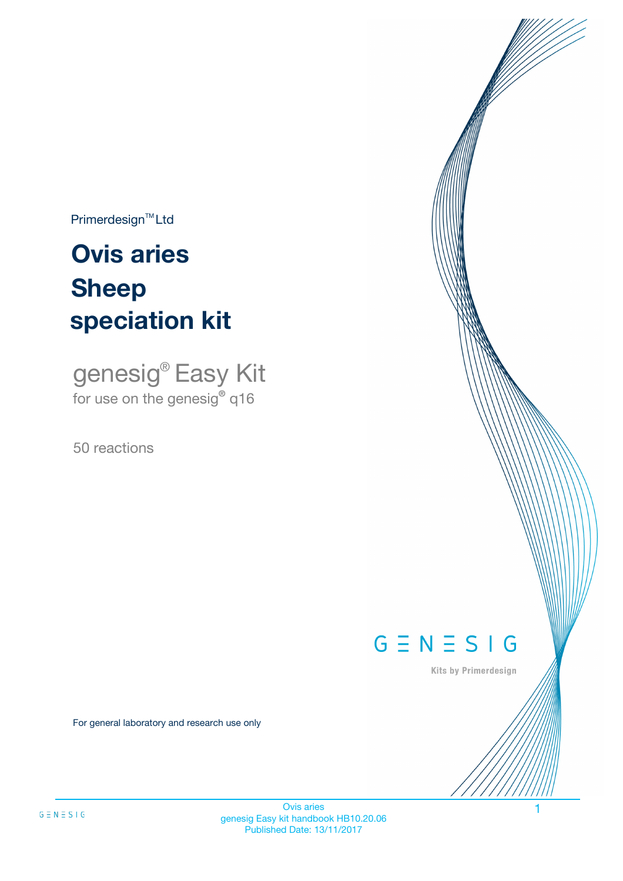$Primerdesign^{\text{TM}}Ltd$ 

# **Ovis aries speciation kit Sheep**

genesig® Easy Kit for use on the genesig**®** q16

50 reactions



Kits by Primerdesign

For general laboratory and research use only

Ovis aries 1 genesig Easy kit handbook HB10.20.06 Published Date: 13/11/2017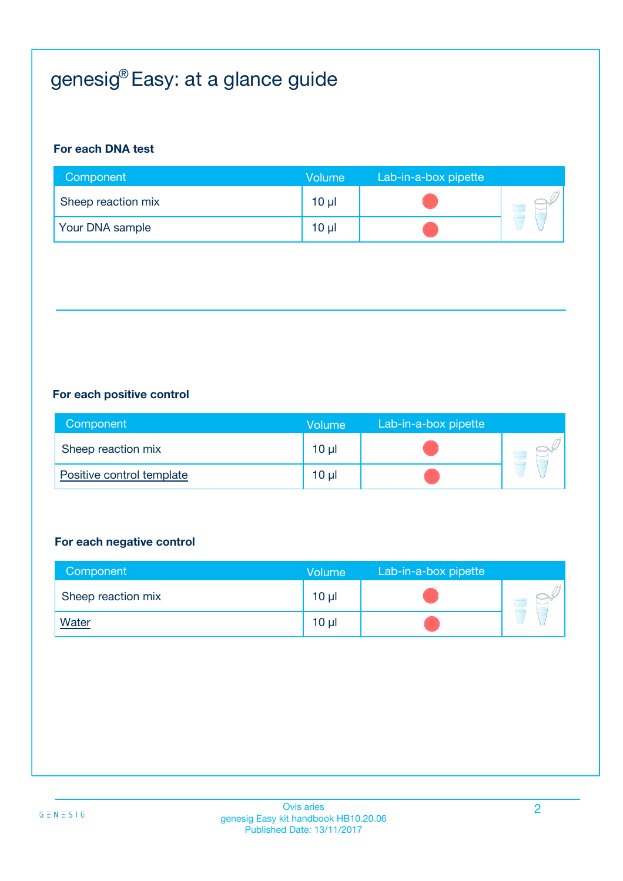# genesig® Easy: at a glance guide

#### **For each DNA test**

| Component          | Volume          | Lab-in-a-box pipette |  |
|--------------------|-----------------|----------------------|--|
| Sheep reaction mix | 10 <sub>µ</sub> |                      |  |
| Your DNA sample    | 10 <sub>µ</sub> |                      |  |

#### **For each positive control**

| Component                 | Volume | Lab-in-a-box pipette |  |
|---------------------------|--------|----------------------|--|
| Sheep reaction mix        | 10 µl  |                      |  |
| Positive control template | 10 µl  |                      |  |

#### **For each negative control**

| Component          | <b>Volume</b>   | Lab-in-a-box pipette |  |
|--------------------|-----------------|----------------------|--|
| Sheep reaction mix | $10 \mu$        |                      |  |
| <b>Water</b>       | 10 <sub>µ</sub> |                      |  |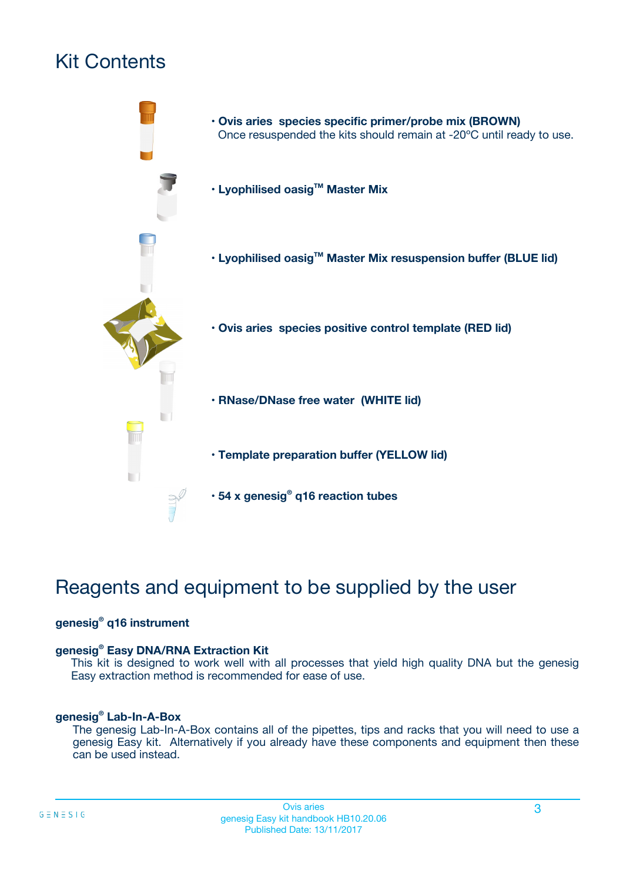# Kit Contents



# Reagents and equipment to be supplied by the user

#### **genesig® q16 instrument**

#### **genesig® Easy DNA/RNA Extraction Kit**

This kit is designed to work well with all processes that yield high quality DNA but the genesig Easy extraction method is recommended for ease of use.

#### **genesig® Lab-In-A-Box**

The genesig Lab-In-A-Box contains all of the pipettes, tips and racks that you will need to use a genesig Easy kit. Alternatively if you already have these components and equipment then these can be used instead.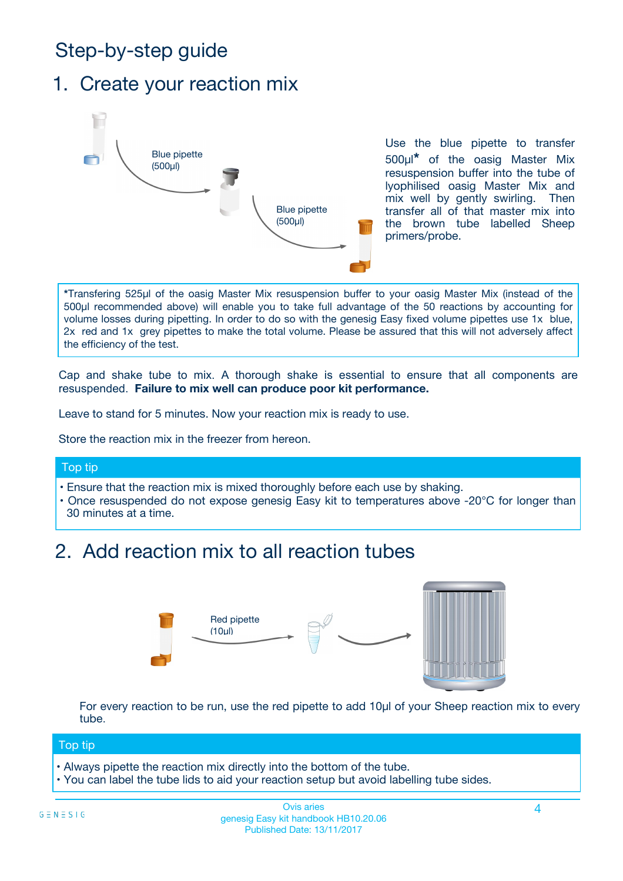# Step-by-step guide

### 1. Create your reaction mix



Use the blue pipette to transfer 500µl**\*** of the oasig Master Mix resuspension buffer into the tube of lyophilised oasig Master Mix and mix well by gently swirling. Then transfer all of that master mix into the brown tube labelled Sheep primers/probe.

**\***Transfering 525µl of the oasig Master Mix resuspension buffer to your oasig Master Mix (instead of the 500µl recommended above) will enable you to take full advantage of the 50 reactions by accounting for volume losses during pipetting. In order to do so with the genesig Easy fixed volume pipettes use 1x blue, 2x red and 1x grey pipettes to make the total volume. Please be assured that this will not adversely affect the efficiency of the test.

Cap and shake tube to mix. A thorough shake is essential to ensure that all components are resuspended. **Failure to mix well can produce poor kit performance.**

Leave to stand for 5 minutes. Now your reaction mix is ready to use.

Store the reaction mix in the freezer from hereon.

#### Top tip

- Ensure that the reaction mix is mixed thoroughly before each use by shaking.
- **•** Once resuspended do not expose genesig Easy kit to temperatures above -20°C for longer than 30 minutes at a time.

## 2. Add reaction mix to all reaction tubes



For every reaction to be run, use the red pipette to add 10µl of your Sheep reaction mix to every tube.

#### Top tip

- Always pipette the reaction mix directly into the bottom of the tube.
- You can label the tube lids to aid your reaction setup but avoid labelling tube sides.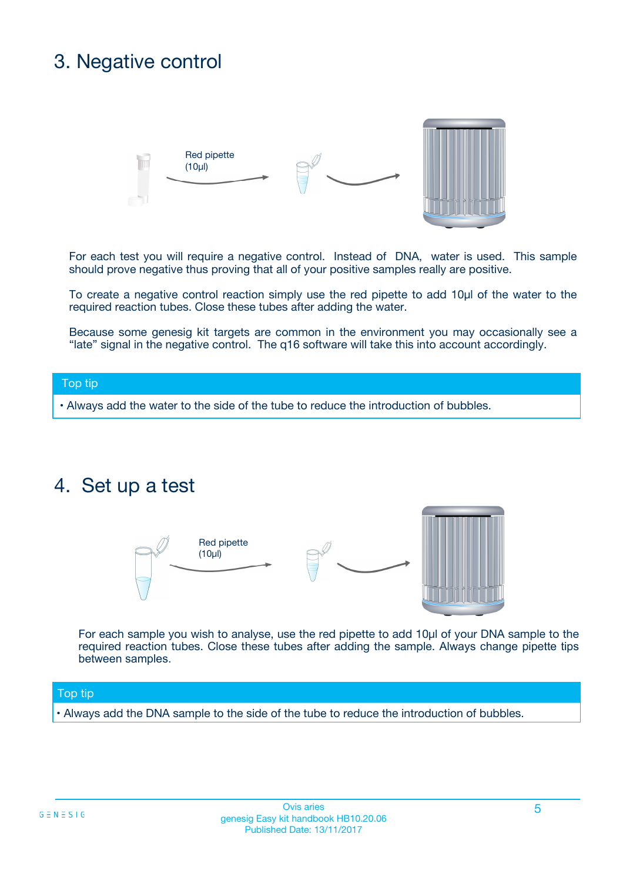# 3. Negative control



For each test you will require a negative control. Instead of DNA, water is used. This sample should prove negative thus proving that all of your positive samples really are positive.

To create a negative control reaction simply use the red pipette to add 10µl of the water to the required reaction tubes. Close these tubes after adding the water.

Because some genesig kit targets are common in the environment you may occasionally see a "late" signal in the negative control. The q16 software will take this into account accordingly.

#### Top tip

**•** Always add the water to the side of the tube to reduce the introduction of bubbles.

### 4. Set up a test



For each sample you wish to analyse, use the red pipette to add 10µl of your DNA sample to the required reaction tubes. Close these tubes after adding the sample. Always change pipette tips between samples.

#### Top tip

**•** Always add the DNA sample to the side of the tube to reduce the introduction of bubbles.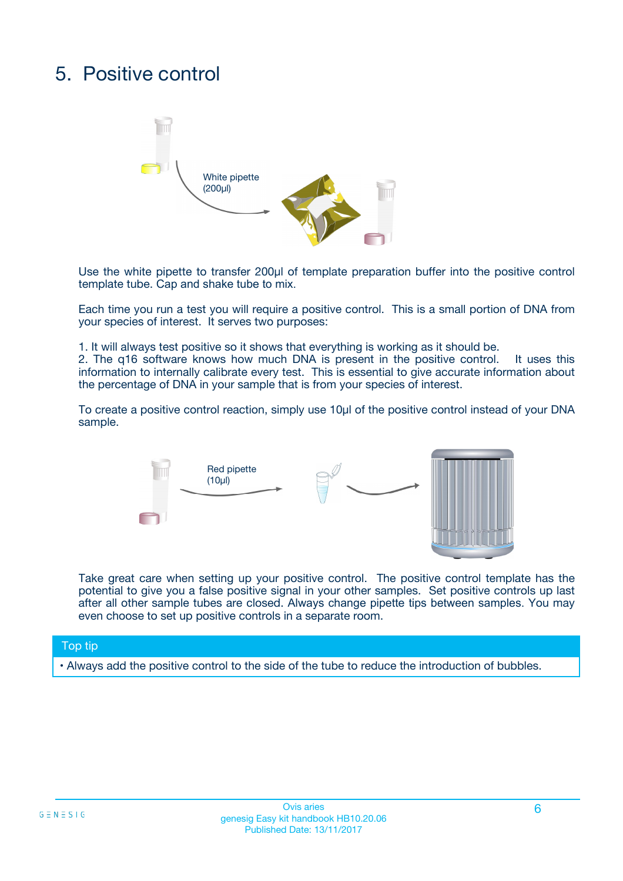# 5. Positive control



Use the white pipette to transfer 200µl of template preparation buffer into the positive control template tube. Cap and shake tube to mix.

Each time you run a test you will require a positive control. This is a small portion of DNA from your species of interest. It serves two purposes:

1. It will always test positive so it shows that everything is working as it should be.

2. The q16 software knows how much DNA is present in the positive control. It uses this information to internally calibrate every test. This is essential to give accurate information about the percentage of DNA in your sample that is from your species of interest.

To create a positive control reaction, simply use 10µl of the positive control instead of your DNA sample.



Take great care when setting up your positive control. The positive control template has the potential to give you a false positive signal in your other samples. Set positive controls up last after all other sample tubes are closed. Always change pipette tips between samples. You may even choose to set up positive controls in a separate room.

#### Top tip

**•** Always add the positive control to the side of the tube to reduce the introduction of bubbles.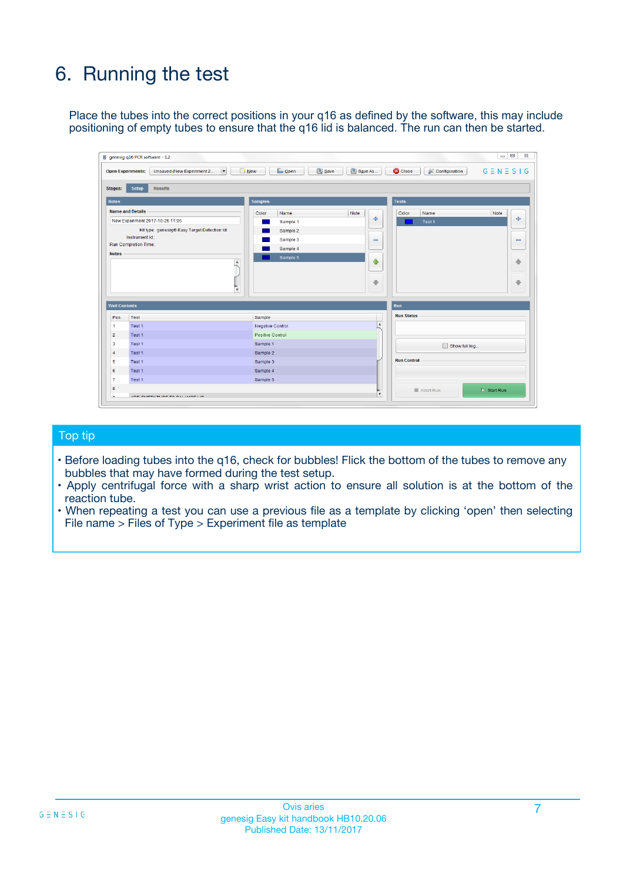# 6. Running the test

Place the tubes into the correct positions in your q16 as defined by the software, this may include positioning of empty tubes to ensure that the q16 lid is balanced. The run can then be started.

|                      | genesig q16 PCR software - 1.2                                                    |                                     | $\Box$                                                                     |
|----------------------|-----------------------------------------------------------------------------------|-------------------------------------|----------------------------------------------------------------------------|
|                      | <b>Open Experiments:</b><br>Unsaved (New Experiment 2<br>$\overline{\phantom{a}}$ | <b>E</b> Open<br>Save<br>$\Box$ New | Save As<br>$G \equiv N \equiv S \mid G$<br><b>C</b> Close<br>Configuration |
| Stages:              | Setup<br><b>Results</b>                                                           |                                     |                                                                            |
| <b>Notes</b>         |                                                                                   | <b>Samples</b>                      | <b>Tests</b>                                                               |
|                      | <b>Name and Details</b>                                                           | Note<br>Color<br>Name               | Color<br>Name<br>Note                                                      |
|                      | New Experiment 2017-10-26 11:06                                                   | Sample 1                            | 유<br>÷<br>Test <sub>1</sub>                                                |
|                      | Kit type: genesig® Easy Target Detection kit                                      | Sample 2                            |                                                                            |
|                      | Instrument Id.:                                                                   | Sample 3                            | $\qquad \qquad \blacksquare$<br>$\qquad \qquad \blacksquare$               |
|                      | <b>Run Completion Time:</b>                                                       | Sample 4                            |                                                                            |
| <b>Notes</b>         | $\blacktriangle$                                                                  | Sample 5                            | ♦                                                                          |
|                      |                                                                                   |                                     | 4                                                                          |
|                      |                                                                                   |                                     |                                                                            |
|                      |                                                                                   |                                     | ÷<br>€                                                                     |
|                      | $\overline{\mathbf{v}}$                                                           |                                     |                                                                            |
| <b>Well Contents</b> |                                                                                   |                                     | Run                                                                        |
| Pos.                 | Test                                                                              | Sample                              | <b>Run Status</b>                                                          |
| 1                    | Test 1                                                                            | <b>Negative Control</b>             | $\blacktriangle$                                                           |
| $\overline{2}$       | Test 1                                                                            | <b>Positive Control</b>             |                                                                            |
| 3                    | Test 1                                                                            | Sample 1                            | Show full log                                                              |
| $\overline{4}$       | Test 1                                                                            | Sample 2                            |                                                                            |
| 5                    | Test 1                                                                            | Sample 3                            | <b>Run Control</b>                                                         |
| 6                    | Test 1                                                                            | Sample 4                            |                                                                            |
| $\overline{7}$       | Test 1                                                                            | Sample 5                            |                                                                            |
|                      |                                                                                   |                                     |                                                                            |
| 8                    |                                                                                   |                                     | $\triangleright$ Start Run<br>Abort Run<br>$\overline{\mathbf{v}}$         |

#### Top tip

- Before loading tubes into the q16, check for bubbles! Flick the bottom of the tubes to remove any bubbles that may have formed during the test setup.
- Apply centrifugal force with a sharp wrist action to ensure all solution is at the bottom of the reaction tube.
- When repeating a test you can use a previous file as a template by clicking 'open' then selecting File name > Files of Type > Experiment file as template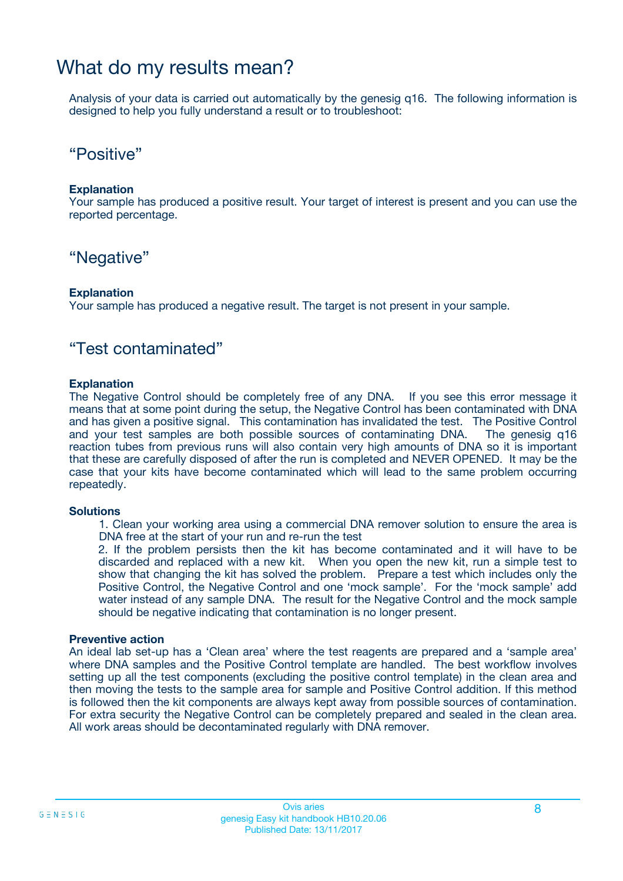### What do my results mean?

Analysis of your data is carried out automatically by the genesig q16. The following information is designed to help you fully understand a result or to troubleshoot:

### "Positive"

#### **Explanation**

Your sample has produced a positive result. Your target of interest is present and you can use the reported percentage.

### "Negative"

#### **Explanation**

Your sample has produced a negative result. The target is not present in your sample.

### "Test contaminated"

#### **Explanation**

The Negative Control should be completely free of any DNA. If you see this error message it means that at some point during the setup, the Negative Control has been contaminated with DNA and has given a positive signal. This contamination has invalidated the test. The Positive Control and your test samples are both possible sources of contaminating DNA. The genesig q16 reaction tubes from previous runs will also contain very high amounts of DNA so it is important that these are carefully disposed of after the run is completed and NEVER OPENED. It may be the case that your kits have become contaminated which will lead to the same problem occurring repeatedly.

#### **Solutions**

1. Clean your working area using a commercial DNA remover solution to ensure the area is DNA free at the start of your run and re-run the test

2. If the problem persists then the kit has become contaminated and it will have to be discarded and replaced with a new kit. When you open the new kit, run a simple test to show that changing the kit has solved the problem. Prepare a test which includes only the Positive Control, the Negative Control and one 'mock sample'. For the 'mock sample' add water instead of any sample DNA. The result for the Negative Control and the mock sample should be negative indicating that contamination is no longer present.

#### **Preventive action**

An ideal lab set-up has a 'Clean area' where the test reagents are prepared and a 'sample area' where DNA samples and the Positive Control template are handled. The best workflow involves setting up all the test components (excluding the positive control template) in the clean area and then moving the tests to the sample area for sample and Positive Control addition. If this method is followed then the kit components are always kept away from possible sources of contamination. For extra security the Negative Control can be completely prepared and sealed in the clean area. All work areas should be decontaminated regularly with DNA remover.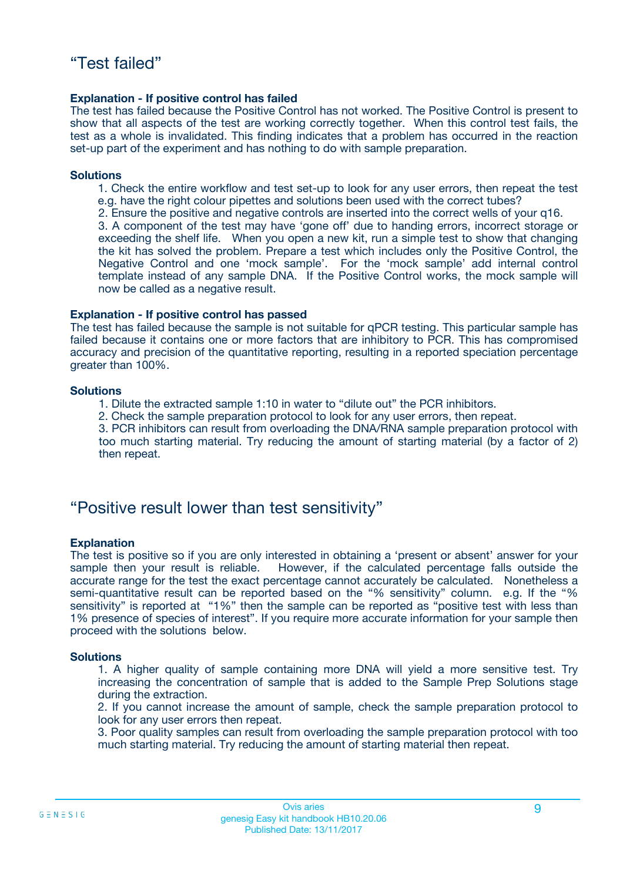#### **Explanation - If positive control has failed**

The test has failed because the Positive Control has not worked. The Positive Control is present to show that all aspects of the test are working correctly together. When this control test fails, the test as a whole is invalidated. This finding indicates that a problem has occurred in the reaction set-up part of the experiment and has nothing to do with sample preparation.

#### **Solutions**

- 1. Check the entire workflow and test set-up to look for any user errors, then repeat the test e.g. have the right colour pipettes and solutions been used with the correct tubes?
- 2. Ensure the positive and negative controls are inserted into the correct wells of your q16.

3. A component of the test may have 'gone off' due to handing errors, incorrect storage or exceeding the shelf life. When you open a new kit, run a simple test to show that changing the kit has solved the problem. Prepare a test which includes only the Positive Control, the Negative Control and one 'mock sample'. For the 'mock sample' add internal control template instead of any sample DNA. If the Positive Control works, the mock sample will now be called as a negative result.

#### **Explanation - If positive control has passed**

The test has failed because the sample is not suitable for qPCR testing. This particular sample has failed because it contains one or more factors that are inhibitory to PCR. This has compromised accuracy and precision of the quantitative reporting, resulting in a reported speciation percentage greater than 100%.

#### **Solutions**

- 1. Dilute the extracted sample 1:10 in water to "dilute out" the PCR inhibitors.
- 2. Check the sample preparation protocol to look for any user errors, then repeat.

3. PCR inhibitors can result from overloading the DNA/RNA sample preparation protocol with too much starting material. Try reducing the amount of starting material (by a factor of 2) then repeat.

### "Positive result lower than test sensitivity"

#### **Explanation**

The test is positive so if you are only interested in obtaining a 'present or absent' answer for your sample then your result is reliable. However, if the calculated percentage falls outside the accurate range for the test the exact percentage cannot accurately be calculated. Nonetheless a semi-quantitative result can be reported based on the "% sensitivity" column. e.g. If the "% sensitivity" is reported at "1%" then the sample can be reported as "positive test with less than 1% presence of species of interest". If you require more accurate information for your sample then proceed with the solutions below.

#### **Solutions**

1. A higher quality of sample containing more DNA will yield a more sensitive test. Try increasing the concentration of sample that is added to the Sample Prep Solutions stage during the extraction.

2. If you cannot increase the amount of sample, check the sample preparation protocol to look for any user errors then repeat.

3. Poor quality samples can result from overloading the sample preparation protocol with too much starting material. Try reducing the amount of starting material then repeat.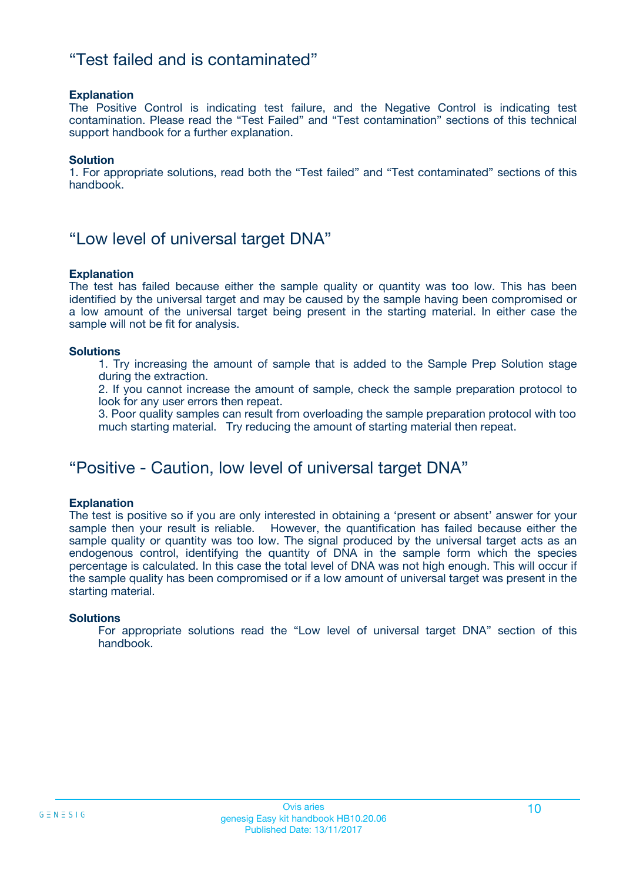### "Test failed and is contaminated"

#### **Explanation**

The Positive Control is indicating test failure, and the Negative Control is indicating test contamination. Please read the "Test Failed" and "Test contamination" sections of this technical support handbook for a further explanation.

#### **Solution**

1. For appropriate solutions, read both the "Test failed" and "Test contaminated" sections of this handbook.

### "Low level of universal target DNA"

#### **Explanation**

The test has failed because either the sample quality or quantity was too low. This has been identified by the universal target and may be caused by the sample having been compromised or a low amount of the universal target being present in the starting material. In either case the sample will not be fit for analysis.

#### **Solutions**

1. Try increasing the amount of sample that is added to the Sample Prep Solution stage during the extraction.

2. If you cannot increase the amount of sample, check the sample preparation protocol to look for any user errors then repeat.

3. Poor quality samples can result from overloading the sample preparation protocol with too much starting material. Try reducing the amount of starting material then repeat.

### "Positive - Caution, low level of universal target DNA"

#### **Explanation**

The test is positive so if you are only interested in obtaining a 'present or absent' answer for your sample then your result is reliable. However, the quantification has failed because either the sample quality or quantity was too low. The signal produced by the universal target acts as an endogenous control, identifying the quantity of DNA in the sample form which the species percentage is calculated. In this case the total level of DNA was not high enough. This will occur if the sample quality has been compromised or if a low amount of universal target was present in the starting material.

#### **Solutions**

For appropriate solutions read the "Low level of universal target DNA" section of this handbook.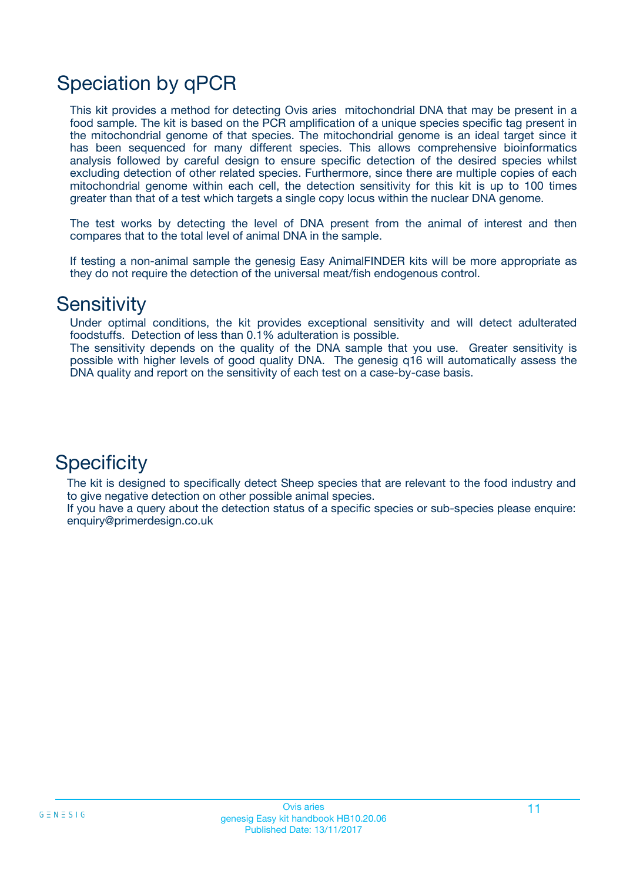# Speciation by qPCR

This kit provides a method for detecting Ovis aries mitochondrial DNA that may be present in a food sample. The kit is based on the PCR amplification of a unique species specific tag present in the mitochondrial genome of that species. The mitochondrial genome is an ideal target since it has been sequenced for many different species. This allows comprehensive bioinformatics analysis followed by careful design to ensure specific detection of the desired species whilst excluding detection of other related species. Furthermore, since there are multiple copies of each mitochondrial genome within each cell, the detection sensitivity for this kit is up to 100 times greater than that of a test which targets a single copy locus within the nuclear DNA genome.

The test works by detecting the level of DNA present from the animal of interest and then compares that to the total level of animal DNA in the sample.

If testing a non-animal sample the genesig Easy AnimalFINDER kits will be more appropriate as they do not require the detection of the universal meat/fish endogenous control.

### **Sensitivity**

Under optimal conditions, the kit provides exceptional sensitivity and will detect adulterated foodstuffs. Detection of less than 0.1% adulteration is possible.

The sensitivity depends on the quality of the DNA sample that you use. Greater sensitivity is possible with higher levels of good quality DNA. The genesig q16 will automatically assess the DNA quality and report on the sensitivity of each test on a case-by-case basis.

### **Specificity**

The kit is designed to specifically detect Sheep species that are relevant to the food industry and to give negative detection on other possible animal species.

If you have a query about the detection status of a specific species or sub-species please enquire: enquiry@primerdesign.co.uk